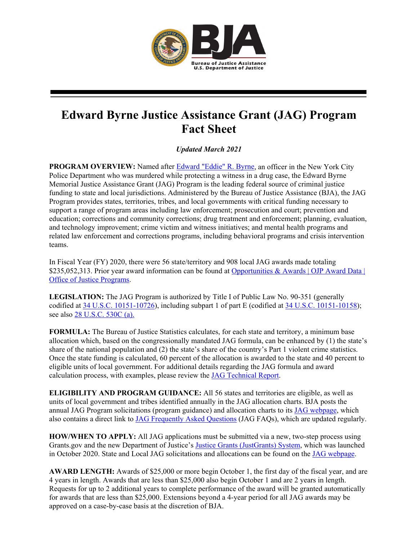

## **Edward Byrne Justice Assistance Grant (JAG) Program Fact Sheet**

*Updated March 2021*

**PROGRAM OVERVIEW:** Named after [Edward "Eddie" R. Byrne,](https://bja.ojp.gov/program/jag/about-officer-byrne) an officer in the New York City Police Department who was murdered while protecting a witness in a drug case, the Edward Byrne Memorial Justice Assistance Grant (JAG) Program is the leading federal source of criminal justice funding to state and local jurisdictions. Administered by the Bureau of Justice Assistance (BJA), the JAG Program provides states, territories, tribes, and local governments with critical funding necessary to support a range of program areas including law enforcement; prosecution and court; prevention and education; corrections and community corrections; drug treatment and enforcement; planning, evaluation, and technology improvement; crime victim and witness initiatives; and mental health programs and related law enforcement and corrections programs, including behavioral programs and crisis intervention teams.

In Fiscal Year (FY) 2020, there were 56 state/territory and 908 local JAG awards made totaling \$235,052,313. Prior year award information can be found at Opportunities & Awards | OJP Award Data | [Office of Justice Programs.](https://www.ojp.gov/funding/explore/ojp-award-data)

**LEGISLATION:** The JAG Program is authorized by Title I of Public Law No. 90-351 (generally codified at [34 U.S.C. 10151-10726\)](https://uscode.house.gov/view.xhtml?hl=false&edition=prelim&req=granuleid%3AUSC-prelim-title34-chapter101&num=0&saved=L3ByZWxpbUB0aXRsZTM0L3N1YnRpdGxlMS9jaGFwdGVyMTAxL3N1YmNoYXB0ZXI1L3BhcnRB%7CZ3JhbnVsZWlkOlVTQy1wcmVsaW0tdGl0bGUzNC1jaGFwdGVyMTAxLXN1YmNoYXB0ZXI1LXBhcnRB%7C%7C%7C0%7Cfalse%7Cprelim), including subpart 1 of part E (codified at [34 U.S.C. 10151-10158\)](https://uscode.house.gov/view.xhtml?path=/prelim@title34/subtitle1/chapter101/subchapter5/partA&edition=prelim); see also [28 U.S.C. 530C \(a\).](https://uscode.house.gov/view.xhtml?req=granuleid:USC-prelim-title28-section530C&num=0&edition=prelim)

**FORMULA:** The Bureau of Justice Statistics calculates, for each state and territory, a minimum base allocation which, based on the congressionally mandated JAG formula, can be enhanced by (1) the state's share of the national population and (2) the state's share of the country's Part 1 violent crime statistics. Once the state funding is calculated, 60 percent of the allocation is awarded to the state and 40 percent to eligible units of local government. For additional details regarding the JAG formula and award calculation process, with examples, please review the [JAG Technical Report.](https://www.bja.gov/Jag/pdfs/JAG-Technical-Report.pdf)

**ELIGIBILITY AND PROGRAM GUIDANCE:** All 56 states and territories are eligible, as well as units of local government and tribes identified annually in the JAG allocation charts. BJA posts the annual JAG Program solicitations (program guidance) and allocation charts to its [JAG webpage,](https://bja.ojp.gov/program/jag/overview) which also contains a direct link to [JAG Frequently Asked Questions](https://bja.ojp.gov/sites/g/files/xyckuh186/files/media/document/jag-faqs.pdf) (JAG FAQs), which are updated regularly.

**HOW/WHEN TO APPLY:** All JAG applications must be submitted via a new, two-step process using Grants.gov and the new Department of Justice's [Justice Grants \(JustGrants\) System,](https://justicegrants.usdoj.gov/) which was launched in October 2020. State and Local JAG solicitations and allocations can be found on the [JAG webpage.](https://bja.ojp.gov/program/jag/overview)

**AWARD LENGTH:** Awards of \$25,000 or more begin October 1, the first day of the fiscal year, and are 4 years in length. Awards that are less than \$25,000 also begin October 1 and are 2 years in length. Requests for up to 2 additional years to complete performance of the award will be granted automatically for awards that are less than \$25,000. Extensions beyond a 4-year period for all JAG awards may be approved on a case-by-case basis at the discretion of BJA.